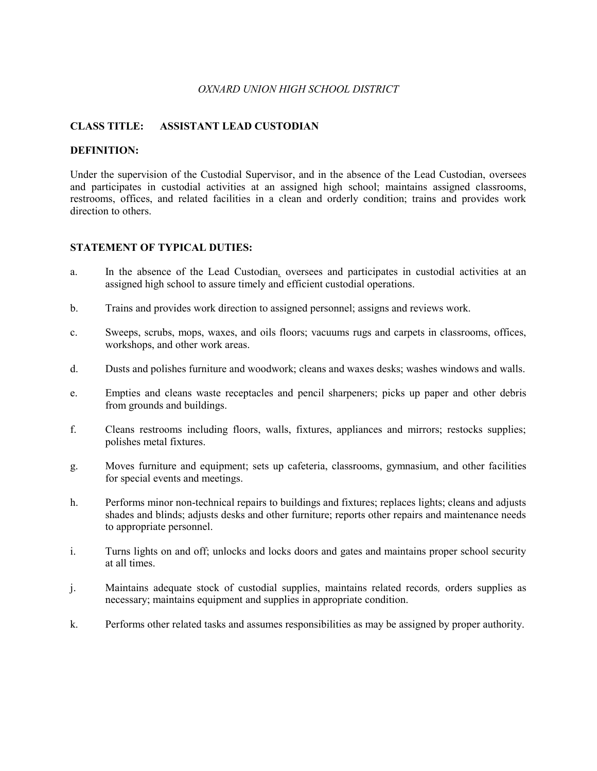### *OXNARD UNION HIGH SCHOOL DISTRICT*

# **CLASS TITLE: ASSISTANT LEAD CUSTODIAN**

### **DEFINITION:**

Under the supervision of the Custodial Supervisor, and in the absence of the Lead Custodian, oversees and participates in custodial activities at an assigned high school; maintains assigned classrooms, restrooms, offices, and related facilities in a clean and orderly condition; trains and provides work direction to others.

#### **STATEMENT OF TYPICAL DUTIES:**

- a. In the absence of the Lead Custodian*,* oversees and participates in custodial activities at an assigned high school to assure timely and efficient custodial operations.
- b. Trains and provides work direction to assigned personnel; assigns and reviews work.
- c. Sweeps, scrubs, mops, waxes, and oils floors; vacuums rugs and carpets in classrooms, offices, workshops, and other work areas.
- d. Dusts and polishes furniture and woodwork; cleans and waxes desks; washes windows and walls.
- e. Empties and cleans waste receptacles and pencil sharpeners; picks up paper and other debris from grounds and buildings.
- f. Cleans restrooms including floors, walls, fixtures, appliances and mirrors; restocks supplies; polishes metal fixtures.
- g. Moves furniture and equipment; sets up cafeteria, classrooms, gymnasium, and other facilities for special events and meetings.
- h. Performs minor non-technical repairs to buildings and fixtures; replaces lights; cleans and adjusts shades and blinds; adjusts desks and other furniture; reports other repairs and maintenance needs to appropriate personnel.
- i. Turns lights on and off; unlocks and locks doors and gates and maintains proper school security at all times.
- j. Maintains adequate stock of custodial supplies, maintains related records*,* orders supplies as necessary; maintains equipment and supplies in appropriate condition.
- k. Performs other related tasks and assumes responsibilities as may be assigned by proper authority.